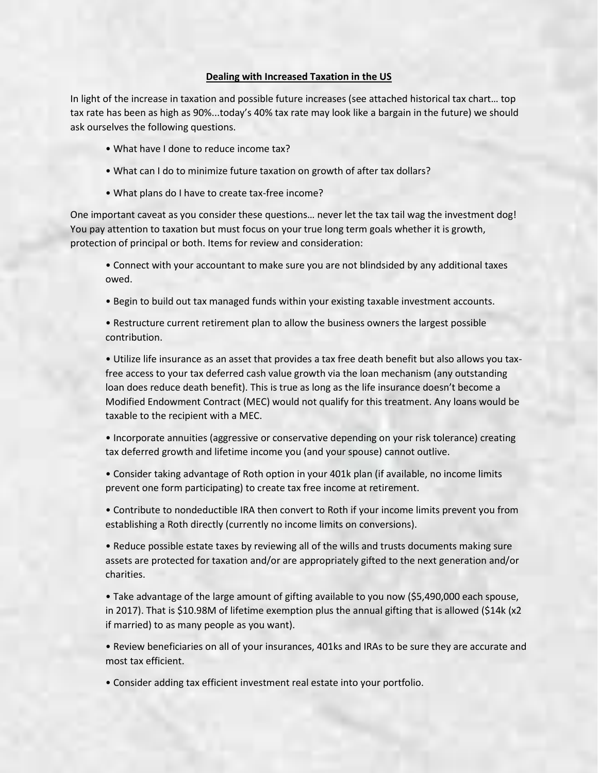## **Dealing with Increased Taxation in the US**

In light of the increase in taxation and possible future increases (see attached historical tax chart… top tax rate has been as high as 90%...today's 40% tax rate may look like a bargain in the future) we should ask ourselves the following questions.

- What have I done to reduce income tax?
- What can I do to minimize future taxation on growth of after tax dollars?
- What plans do I have to create tax-free income?

One important caveat as you consider these questions… never let the tax tail wag the investment dog! You pay attention to taxation but must focus on your true long term goals whether it is growth, protection of principal or both. Items for review and consideration:

• Connect with your accountant to make sure you are not blindsided by any additional taxes owed.

• Begin to build out tax managed funds within your existing taxable investment accounts.

• Restructure current retirement plan to allow the business owners the largest possible contribution.

• Utilize life insurance as an asset that provides a tax free death benefit but also allows you taxfree access to your tax deferred cash value growth via the loan mechanism (any outstanding loan does reduce death benefit). This is true as long as the life insurance doesn't become a Modified Endowment Contract (MEC) would not qualify for this treatment. Any loans would be taxable to the recipient with a MEC.

• Incorporate annuities (aggressive or conservative depending on your risk tolerance) creating tax deferred growth and lifetime income you (and your spouse) cannot outlive.

• Consider taking advantage of Roth option in your 401k plan (if available, no income limits prevent one form participating) to create tax free income at retirement.

• Contribute to nondeductible IRA then convert to Roth if your income limits prevent you from establishing a Roth directly (currently no income limits on conversions).

• Reduce possible estate taxes by reviewing all of the wills and trusts documents making sure assets are protected for taxation and/or are appropriately gifted to the next generation and/or charities.

• Take advantage of the large amount of gifting available to you now (\$5,490,000 each spouse, in 2017). That is \$10.98M of lifetime exemption plus the annual gifting that is allowed (\$14k (x2 if married) to as many people as you want).

• Review beneficiaries on all of your insurances, 401ks and IRAs to be sure they are accurate and most tax efficient.

• Consider adding tax efficient investment real estate into your portfolio.